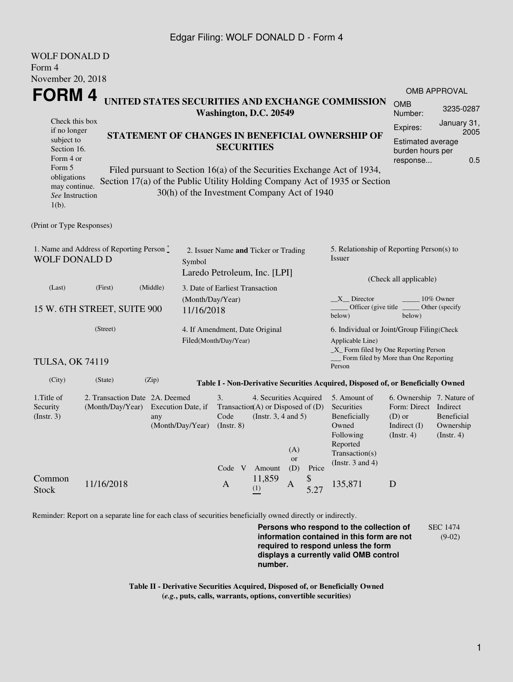## Edgar Filing: WOLF DONALD D - Form 4

| <b>WOLF DONALD D</b>                                                       |                                                                                 |                  |                                             |                                                                                                         |        |              |             |                                                                                  |                                     |                     |  |  |
|----------------------------------------------------------------------------|---------------------------------------------------------------------------------|------------------|---------------------------------------------|---------------------------------------------------------------------------------------------------------|--------|--------------|-------------|----------------------------------------------------------------------------------|-------------------------------------|---------------------|--|--|
| Form 4                                                                     |                                                                                 |                  |                                             |                                                                                                         |        |              |             |                                                                                  |                                     |                     |  |  |
| November 20, 2018                                                          |                                                                                 |                  |                                             |                                                                                                         |        |              |             |                                                                                  |                                     |                     |  |  |
| <b>FORM4</b>                                                               |                                                                                 |                  |                                             |                                                                                                         |        |              |             |                                                                                  |                                     | <b>OMB APPROVAL</b> |  |  |
| UNITED STATES SECURITIES AND EXCHANGE COMMISSION<br>Washington, D.C. 20549 |                                                                                 |                  |                                             |                                                                                                         |        | <b>OMB</b>   | 3235-0287   |                                                                                  |                                     |                     |  |  |
| Check this box                                                             |                                                                                 |                  |                                             |                                                                                                         |        |              |             |                                                                                  | Number:                             | January 31,         |  |  |
| if no longer                                                               |                                                                                 |                  |                                             | STATEMENT OF CHANGES IN BENEFICIAL OWNERSHIP OF                                                         |        |              |             |                                                                                  | Expires:<br>2005                    |                     |  |  |
| subject to<br>Section 16.                                                  |                                                                                 |                  |                                             | <b>SECURITIES</b>                                                                                       |        |              |             |                                                                                  | Estimated average                   |                     |  |  |
| Form 4 or                                                                  |                                                                                 |                  |                                             |                                                                                                         |        |              |             |                                                                                  | burden hours per<br>0.5<br>response |                     |  |  |
| Form 5                                                                     |                                                                                 |                  |                                             |                                                                                                         |        |              |             | Filed pursuant to Section 16(a) of the Securities Exchange Act of 1934,          |                                     |                     |  |  |
| obligations<br>may continue.                                               |                                                                                 |                  |                                             |                                                                                                         |        |              |             | Section 17(a) of the Public Utility Holding Company Act of 1935 or Section       |                                     |                     |  |  |
| See Instruction                                                            |                                                                                 |                  | 30(h) of the Investment Company Act of 1940 |                                                                                                         |        |              |             |                                                                                  |                                     |                     |  |  |
| $1(b)$ .                                                                   |                                                                                 |                  |                                             |                                                                                                         |        |              |             |                                                                                  |                                     |                     |  |  |
|                                                                            |                                                                                 |                  |                                             |                                                                                                         |        |              |             |                                                                                  |                                     |                     |  |  |
| (Print or Type Responses)                                                  |                                                                                 |                  |                                             |                                                                                                         |        |              |             |                                                                                  |                                     |                     |  |  |
|                                                                            | 1. Name and Address of Reporting Person *                                       |                  |                                             |                                                                                                         |        |              |             | 5. Relationship of Reporting Person(s) to                                        |                                     |                     |  |  |
| <b>WOLF DONALD D</b>                                                       |                                                                                 |                  | Symbol                                      | 2. Issuer Name and Ticker or Trading                                                                    |        |              |             | Issuer                                                                           |                                     |                     |  |  |
|                                                                            |                                                                                 |                  |                                             | Laredo Petroleum, Inc. [LPI]                                                                            |        |              |             |                                                                                  |                                     |                     |  |  |
| (Last)                                                                     | (First)                                                                         | (Middle)         |                                             | 3. Date of Earliest Transaction                                                                         |        |              |             |                                                                                  | (Check all applicable)              |                     |  |  |
|                                                                            |                                                                                 |                  |                                             | (Month/Day/Year)                                                                                        |        |              |             | $X$ Director<br>10% Owner                                                        |                                     |                     |  |  |
|                                                                            | 15 W. 6TH STREET, SUITE 900                                                     |                  | 11/16/2018                                  |                                                                                                         |        |              |             | Officer (give title)<br>below)                                                   | below)                              | Other (specify      |  |  |
|                                                                            |                                                                                 |                  |                                             |                                                                                                         |        |              |             |                                                                                  |                                     |                     |  |  |
| (Street)                                                                   |                                                                                 |                  |                                             | 4. If Amendment, Date Original<br>Filed(Month/Day/Year)                                                 |        |              |             | 6. Individual or Joint/Group Filing(Check<br>Applicable Line)                    |                                     |                     |  |  |
|                                                                            |                                                                                 |                  |                                             |                                                                                                         |        |              |             | _X_ Form filed by One Reporting Person                                           |                                     |                     |  |  |
| <b>TULSA, OK 74119</b>                                                     |                                                                                 |                  |                                             |                                                                                                         |        |              |             | Form filed by More than One Reporting<br>Person                                  |                                     |                     |  |  |
| (City)                                                                     |                                                                                 |                  |                                             |                                                                                                         |        |              |             |                                                                                  |                                     |                     |  |  |
|                                                                            | (State)                                                                         | (Zip)            |                                             |                                                                                                         |        |              |             | Table I - Non-Derivative Securities Acquired, Disposed of, or Beneficially Owned |                                     |                     |  |  |
| 1. Title of                                                                | 2. Transaction Date 2A. Deemed<br>(Month/Day/Year)<br>Execution Date, if<br>any |                  |                                             | 3.<br>4. Securities Acquired<br>Transaction(A) or Disposed of $(D)$<br>(Instr. $3, 4$ and $5$ )<br>Code |        |              |             | 5. Amount of                                                                     | 6. Ownership 7. Nature of           |                     |  |  |
| Security<br>(Insert. 3)                                                    |                                                                                 |                  |                                             |                                                                                                         |        |              |             | Securities<br>Beneficially                                                       | Form: Direct Indirect<br>$(D)$ or   | Beneficial          |  |  |
|                                                                            |                                                                                 | (Month/Day/Year) |                                             |                                                                                                         |        |              |             | Owned                                                                            | Indirect $(I)$                      | Ownership           |  |  |
|                                                                            |                                                                                 |                  |                                             |                                                                                                         |        |              |             | Following                                                                        | $($ Instr. 4 $)$                    | $($ Instr. 4 $)$    |  |  |
|                                                                            |                                                                                 |                  |                                             |                                                                                                         |        | (A)          |             | Reported<br>Transaction(s)                                                       |                                     |                     |  |  |
|                                                                            |                                                                                 |                  |                                             |                                                                                                         |        | or           |             | (Instr. $3$ and $4$ )                                                            |                                     |                     |  |  |
| Common                                                                     |                                                                                 |                  |                                             | Code V Amount                                                                                           | 11,859 | (D)          | Price<br>\$ |                                                                                  |                                     |                     |  |  |
| <b>Stock</b>                                                               | 11/16/2018                                                                      |                  |                                             | $\mathbf{A}$                                                                                            | (1)    | $\mathbf{A}$ | 5.27        | 135,871                                                                          | D                                   |                     |  |  |
|                                                                            |                                                                                 |                  |                                             |                                                                                                         |        |              |             |                                                                                  |                                     |                     |  |  |
|                                                                            |                                                                                 |                  |                                             |                                                                                                         |        |              |             |                                                                                  |                                     |                     |  |  |

Reminder: Report on a separate line for each class of securities beneficially owned directly or indirectly.

**Persons who respond to the collection of information contained in this form are not required to respond unless the form displays a currently valid OMB control number.** SEC 1474 (9-02)

**Table II - Derivative Securities Acquired, Disposed of, or Beneficially Owned (***e.g.***, puts, calls, warrants, options, convertible securities)**